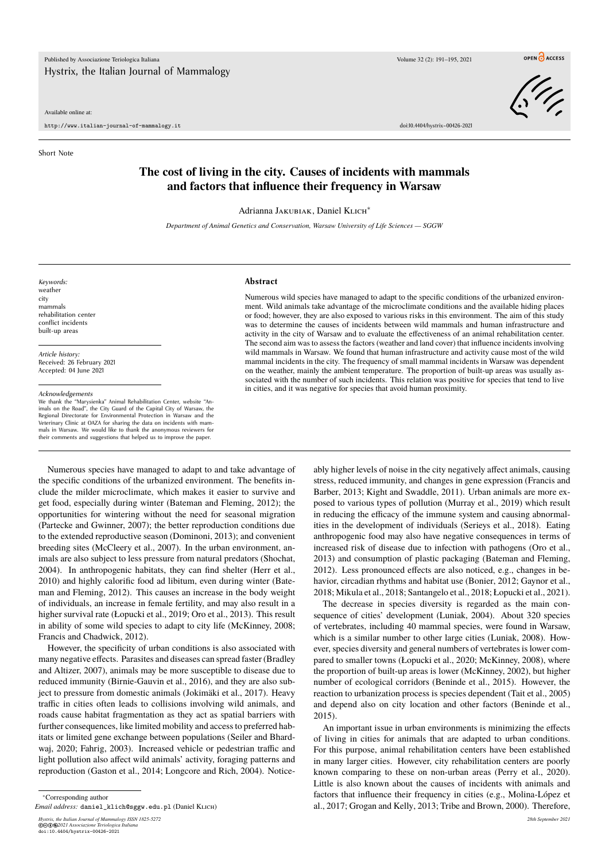## Available online at:

http://www.italian-journal-of-mammalogy.it doi:10.4404/hystrix–00426-2021

Short Note

## **The cost of living in the city. Causes of incidents with mammals and factors that influence their frequency in Warsaw**

Adrianna JAKUBIAK, Daniel KLICH<sup>∗</sup>

*Department of Animal Genetics and Conservation, Warsaw University of Life Sciences — SGGW*

*Keywords:* weather city mammals rehabilitation center conflict incidents built-up areas

*Article history:* Received: 26 February 2021 Accepted: 04 June 2021

*Acknowledgements*

we the the "Marysienka" Animal Rehabilitation Center, website "Animals on the Road", the City Guard of the Capital City of Warsaw, the Regional Directorate for Environmental Protection in Warsaw and the Veterinary Clinic at OAZA for sharing the data on incidents with mammals in Warsaw. We would like to thank the anonymous reviewers for their comments and suggestions that helped us to improve the paper.

## **Abstract**

Numerous wild species have managed to adapt to the specific conditions of the urbanized environment. Wild animals take advantage of the microclimate conditions and the available hiding places or food; however, they are also exposed to various risks in this environment. The aim of this study was to determine the causes of incidents between wild mammals and human infrastructure and activity in the city of Warsaw and to evaluate the effectiveness of an animal rehabilitation center. The second aim was to assess the factors (weather and land cover) that influence incidents involving wild mammals in Warsaw. We found that human infrastructure and activity cause most of the wild mammal incidents in the city. The frequency of small mammal incidents in Warsaw was dependent on the weather, mainly the ambient temperature. The proportion of built-up areas was usually associated with the number of such incidents. This relation was positive for species that tend to live in cities, and it was negative for species that avoid human proximity.

Numerous species have managed to adapt to and take advantage of the specific conditions of the urbanized environment. The benefits include the milder microclimate, which makes it easier to survive and get food, especially during winter (Bateman and Fleming, 2012); the opportunities for wintering without the need for seasonal migration (Partecke and Gwinner, 2007); the better reproduction conditions due to the extended reproductive season (Dominoni, 2013); and convenient breeding sites (McCleery et al., 2007). In the urban environment, animals are also subject to less pressure from natural predators (Shochat, 2004). In anthropogenic habitats, they can find shelter (Herr et al., 2010) and highly calorific food ad libitum, even during winter (Bateman and Fleming, 2012). This causes an increase in the body weight of individuals, an increase in female fertility, and may also result in a higher survival rate (Łopucki et al., 2019; Oro et al., 2013). This result in ability of some wild species to adapt to city life (McKinney, 2008; Francis and Chadwick, 2012).

However, the specificity of urban conditions is also associated with many negative effects. Parasites and diseases can spread faster (Bradley and Altizer, 2007), animals may be more susceptible to disease due to reduced immunity (Birnie-Gauvin et al., 2016), and they are also subject to pressure from domestic animals (Jokimäki et al., 2017). Heavy traffic in cities often leads to collisions involving wild animals, and roads cause habitat fragmentation as they act as spatial barriers with further consequences, like limited mobility and access to preferred habitats or limited gene exchange between populations (Seiler and Bhardwaj, 2020; Fahrig, 2003). Increased vehicle or pedestrian traffic and light pollution also affect wild animals' activity, foraging patterns and reproduction (Gaston et al., 2014; Longcore and Rich, 2004). Notice-

*Hystrix, the Italian Journal of Mammalogy ISSN 1825-5272 28th September 2021* ©cbe*2021 Associazione Teriologica Italiana* doi:10.4404/hystrix–00426-2021

ably higher levels of noise in the city negatively affect animals, causing stress, reduced immunity, and changes in gene expression (Francis and Barber, 2013; Kight and Swaddle, 2011). Urban animals are more exposed to various types of pollution (Murray et al., 2019) which result in reducing the efficacy of the immune system and causing abnormalities in the development of individuals (Serieys et al., 2018). Eating anthropogenic food may also have negative consequences in terms of increased risk of disease due to infection with pathogens (Oro et al., 2013) and consumption of plastic packaging (Bateman and Fleming, 2012). Less pronounced effects are also noticed, e.g., changes in behavior, circadian rhythms and habitat use (Bonier, 2012; Gaynor et al., 2018; Mikula et al., 2018; Santangelo et al., 2018; Łopucki et al., 2021).

The decrease in species diversity is regarded as the main consequence of cities' development (Luniak, 2004). About 320 species of vertebrates, including 40 mammal species, were found in Warsaw, which is a similar number to other large cities (Luniak, 2008). However, species diversity and general numbers of vertebrates is lower compared to smaller towns (Łopucki et al., 2020; McKinney, 2008), where the proportion of built-up areas is lower (McKinney, 2002), but higher number of ecological corridors (Beninde et al., 2015). However, the reaction to urbanization process is species dependent (Tait et al., 2005) and depend also on city location and other factors (Beninde et al., 2015).

An important issue in urban environments is minimizing the effects of living in cities for animals that are adapted to urban conditions. For this purpose, animal rehabilitation centers have been established in many larger cities. However, city rehabilitation centers are poorly known comparing to these on non-urban areas (Perry et al., 2020). Little is also known about the causes of incidents with animals and factors that influence their frequency in cities (e.g., Molina-López et al., 2017; Grogan and Kelly, 2013; Tribe and Brown, 2000). Therefore,



OPEN CACCESS

<sup>∗</sup>Corresponding author

*Email address:* daniel\_klich@sggw.edu.pl (Daniel Klich)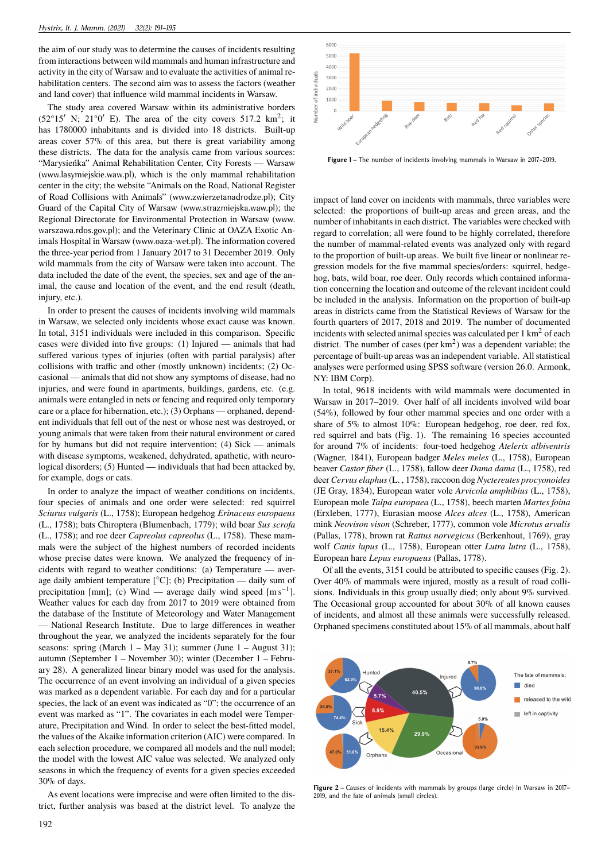the aim of our study was to determine the causes of incidents resulting from interactions between wild mammals and human infrastructure and activity in the city of Warsaw and to evaluate the activities of animal rehabilitation centers. The second aim was to assess the factors (weather and land cover) that influence wild mammal incidents in Warsaw.

The study area covered Warsaw within its administrative borders  $(52^{\circ}15' \text{ N}; 21^{\circ}0' \text{ E})$ . The area of the city covers 517.2 km<sup>2</sup>; it has 1780000 inhabitants and is divided into 18 districts. Built-up areas cover 57% of this area, but there is great variability among these districts. The data for the analysis came from various sources: "Marysieńka" Animal Rehabilitation Center, City Forests — Warsaw (www.lasymiejskie.waw.pl), which is the only mammal rehabilitation center in the city; the website "Animals on the Road, National Register of Road Collisions with Animals" (www.zwierzetanadrodze.pl); City Guard of the Capital City of Warsaw (www.strazmiejska.waw.pl); the Regional Directorate for Environmental Protection in Warsaw (www. warszawa.rdos.gov.pl); and the Veterinary Clinic at OAZA Exotic Animals Hospital in Warsaw (www.oaza-wet.pl). The information covered the three-year period from 1 January 2017 to 31 December 2019. Only wild mammals from the city of Warsaw were taken into account. The data included the date of the event, the species, sex and age of the animal, the cause and location of the event, and the end result (death, injury, etc.).

In order to present the causes of incidents involving wild mammals in Warsaw, we selected only incidents whose exact cause was known. In total, 3151 individuals were included in this comparison. Specific cases were divided into five groups: (1) Injured — animals that had suffered various types of injuries (often with partial paralysis) after collisions with traffic and other (mostly unknown) incidents; (2) Occasional — animals that did not show any symptoms of disease, had no injuries, and were found in apartments, buildings, gardens, etc. (e.g. animals were entangled in nets or fencing and required only temporary care or a place for hibernation, etc.); (3) Orphans — orphaned, dependent individuals that fell out of the nest or whose nest was destroyed, or young animals that were taken from their natural environment or cared for by humans but did not require intervention; (4) Sick — animals with disease symptoms, weakened, dehydrated, apathetic, with neurological disorders; (5) Hunted — individuals that had been attacked by, for example, dogs or cats.

In order to analyze the impact of weather conditions on incidents, four species of animals and one order were selected: red squirrel *Sciurus vulgaris* (L., 1758); European hedgehog *Erinaceus europaeus* (L., 1758); bats Chiroptera (Blumenbach, 1779); wild boar *Sus scrofa* (L., 1758); and roe deer *Capreolus capreolus* (L., 1758). These mammals were the subject of the highest numbers of recorded incidents whose precise dates were known. We analyzed the frequency of incidents with regard to weather conditions: (a) Temperature — average daily ambient temperature  $[°C]$ ; (b) Precipitation — daily sum of precipitation [mm]; (c) Wind — average daily wind speed  $[m s^{-1}]$ . Weather values for each day from 2017 to 2019 were obtained from the database of the Institute of Meteorology and Water Management — National Research Institute. Due to large differences in weather throughout the year, we analyzed the incidents separately for the four seasons: spring (March  $1 - May 31$ ); summer (June  $1 - August 31$ ); autumn (September 1 – November 30); winter (December 1 – February 28). A generalized linear binary model was used for the analysis. The occurrence of an event involving an individual of a given species was marked as a dependent variable. For each day and for a particular species, the lack of an event was indicated as "0"; the occurrence of an event was marked as "1". The covariates in each model were Temperature, Precipitation and Wind. In order to select the best-fitted model, the values of the Akaike information criterion (AIC) were compared. In each selection procedure, we compared all models and the null model; the model with the lowest AIC value was selected. We analyzed only seasons in which the frequency of events for a given species exceeded 30% of days.

As event locations were imprecise and were often limited to the district, further analysis was based at the district level. To analyze the



**Figure 1** – The number of incidents involving mammals in Warsaw in 2017–2019.

impact of land cover on incidents with mammals, three variables were selected: the proportions of built-up areas and green areas, and the number of inhabitants in each district. The variables were checked with regard to correlation; all were found to be highly correlated, therefore the number of mammal-related events was analyzed only with regard to the proportion of built-up areas. We built five linear or nonlinear regression models for the five mammal species/orders: squirrel, hedgehog, bats, wild boar, roe deer. Only records which contained information concerning the location and outcome of the relevant incident could be included in the analysis. Information on the proportion of built-up areas in districts came from the Statistical Reviews of Warsaw for the fourth quarters of 2017, 2018 and 2019. The number of documented incidents with selected animal species was calculated per  $1 \text{ km}^2$  of each district. The number of cases (per  $km<sup>2</sup>$ ) was a dependent variable; the percentage of built-up areas was an independent variable. All statistical analyses were performed using SPSS software (version 26.0. Armonk, NY: IBM Corp).

In total, 9618 incidents with wild mammals were documented in Warsaw in 2017–2019. Over half of all incidents involved wild boar (54%), followed by four other mammal species and one order with a share of 5% to almost 10%: European hedgehog, roe deer, red fox, red squirrel and bats (Fig. 1). The remaining 16 species accounted for around 7% of incidents: four-toed hedgehog *Atelerix albiventris* (Wagner, 1841), European badger *Meles meles* (L., 1758), European beaver *Castor fiber* (L., 1758), fallow deer *Dama dama* (L., 1758), red deer *Cervus elaphus*(L. , 1758), raccoon dog *Nyctereutes procyonoides* (JE Gray, 1834), European water vole *Arvicola amphibius* (L., 1758), European mole *Talpa europaea* (L., 1758), beech marten *Martes foina* (Erxleben, 1777), Eurasian moose *Alces alces* (L., 1758), American mink *Neovison vison* (Schreber, 1777), common vole *Microtus arvalis* (Pallas, 1778), brown rat *Rattus norvegicus* (Berkenhout, 1769), gray wolf *Canis lupus* (L., 1758), European otter *Lutra lutra* (L., 1758), European hare *Lepus europaeus* (Pallas, 1778).

Of all the events, 3151 could be attributed to specific causes (Fig. 2). Over 40% of mammals were injured, mostly as a result of road collisions. Individuals in this group usually died; only about 9% survived. The Occasional group accounted for about 30% of all known causes of incidents, and almost all these animals were successfully released. Orphaned specimens constituted about 15% of all mammals, about half



**Figure 2** – Causes of incidents with mammals by groups (large circle) in Warsaw in 2017– 2019, and the fate of animals (small circles).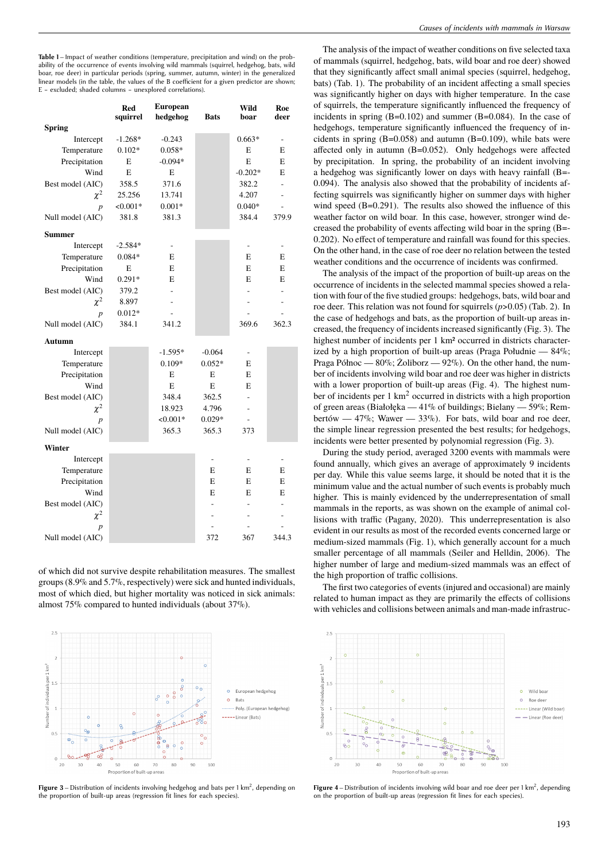**Table 1** – Impact of weather conditions (temperature, precipitation and wind) on the probability of the occurrence of events involving wild mammals (squirrel, hedgehog, bats, wild boar, roe deer) in particular periods (spring, summer, autumn, winter) in the generalized linear models (in the table, the values of the B coefficient for a given predictor are shown; E – excluded; shaded columns – unexplored correlations).

|                  | <b>Red</b><br>squirrel | European<br>hedgehog | <b>Bats</b> | Wild<br>boar             | Roe<br>deer              |
|------------------|------------------------|----------------------|-------------|--------------------------|--------------------------|
| <b>Spring</b>    |                        |                      |             |                          |                          |
| Intercept        | $-1.268*$              | $-0.243$             |             | $0.663*$                 | $\overline{a}$           |
| Temperature      | $0.102*$               | $0.058*$             |             | E                        | E                        |
| Precipitation    | E                      | $-0.094*$            |             | E                        | E                        |
| Wind             | E                      | E                    |             | $-0.202*$                | E                        |
| Best model (AIC) | 358.5                  | 371.6                |             | 382.2                    | $\overline{a}$           |
| $\chi^2$         | 25.256                 | 13.741               |             | 4.207                    | $\overline{a}$           |
| $\boldsymbol{p}$ | $< 0.001*$             | $0.001*$             |             | $0.040*$                 | $\frac{1}{2}$            |
| Null model (AIC) | 381.8                  | 381.3                |             | 384.4                    | 379.9                    |
| Summer           |                        |                      |             |                          |                          |
| Intercept        | $-2.584*$              | $\overline{a}$       |             | $\overline{\phantom{0}}$ | $\overline{a}$           |
| Temperature      | $0.084*$               | E                    |             | E                        | E                        |
| Precipitation    | E                      | E                    |             | E                        | E                        |
| Wind             | $0.291*$               | E                    |             | E                        | E                        |
| Best model (AIC) | 379.2                  |                      |             |                          |                          |
| $\chi^2$         | 8.897                  |                      |             | -                        | $\overline{\phantom{0}}$ |
| $\boldsymbol{p}$ | $0.012*$               |                      |             |                          | $\overline{a}$           |
| Null model (AIC) | 384.1                  | 341.2                |             | 369.6                    | 362.3                    |
| Autumn           |                        |                      |             |                          |                          |
| Intercept        |                        | $-1.595*$            | $-0.064$    |                          |                          |
| Temperature      |                        | $0.109*$             | $0.052*$    | E                        |                          |
| Precipitation    |                        | E                    | E           | E                        |                          |
| Wind             |                        | E                    | E           | E                        |                          |
| Best model (AIC) |                        | 348.4                | 362.5       | $\overline{a}$           |                          |
| $\chi^2$         |                        | 18.923               | 4.796       | L,                       |                          |
| p                |                        | $< 0.001*$           | $0.029*$    | ÷.                       |                          |
| Null model (AIC) |                        | 365.3                | 365.3       | 373                      |                          |
| Winter           |                        |                      |             |                          |                          |
| Intercept        |                        |                      |             |                          |                          |
| Temperature      |                        |                      | E           | E                        | E                        |
| Precipitation    |                        |                      | E           | E                        | E                        |
| Wind             |                        |                      | E           | E                        | E                        |
| Best model (AIC) |                        |                      |             | $\overline{a}$           | $\overline{a}$           |
| $\chi^2$         |                        |                      |             |                          |                          |
| $\boldsymbol{p}$ |                        |                      |             |                          |                          |
| Null model (AIC) |                        |                      | 372         | 367                      | 344.3                    |

of which did not survive despite rehabilitation measures. The smallest groups (8.9% and 5.7%, respectively) were sick and hunted individuals, most of which died, but higher mortality was noticed in sick animals: almost 75% compared to hunted individuals (about 37%).



Figure 3 – Distribution of incidents involving hedgehog and bats per 1 km<sup>2</sup>, depending on the proportion of built-up areas (regression fit lines for each species).

The analysis of the impact of weather conditions on five selected taxa of mammals (squirrel, hedgehog, bats, wild boar and roe deer) showed that they significantly affect small animal species (squirrel, hedgehog, bats) (Tab. 1). The probability of an incident affecting a small species was significantly higher on days with higher temperature. In the case of squirrels, the temperature significantly influenced the frequency of incidents in spring (B=0.102) and summer (B=0.084). In the case of hedgehogs, temperature significantly influenced the frequency of incidents in spring (B=0.058) and autumn (B=0.109), while bats were affected only in autumn (B=0.052). Only hedgehogs were affected by precipitation. In spring, the probability of an incident involving a hedgehog was significantly lower on days with heavy rainfall (B=- 0.094). The analysis also showed that the probability of incidents affecting squirrels was significantly higher on summer days with higher wind speed (B=0.291). The results also showed the influence of this weather factor on wild boar. In this case, however, stronger wind decreased the probability of events affecting wild boar in the spring (B=- 0.202). No effect of temperature and rainfall was found for this species. On the other hand, in the case of roe deer no relation between the tested weather conditions and the occurrence of incidents was confirmed.

The analysis of the impact of the proportion of built-up areas on the occurrence of incidents in the selected mammal species showed a relation with four of the five studied groups: hedgehogs, bats, wild boar and roe deer. This relation was not found for squirrels (*p*>0.05) (Tab. 2). In the case of hedgehogs and bats, as the proportion of built-up areas increased, the frequency of incidents increased significantly (Fig. 3). The highest number of incidents per 1 km2 occurred in districts characterized by a high proportion of built-up areas (Praga Południe — 84%; Praga Północ — 80%; Żoliborz — 92%). On the other hand, the number of incidents involving wild boar and roe deer was higher in districts with a lower proportion of built-up areas (Fig. 4). The highest number of incidents per 1 km<sup>2</sup> occurred in districts with a high proportion of green areas (Białołęka — 41% of buildings; Bielany — 59%; Rembertów — 47%; Wawer —  $33\%$ ). For bats, wild boar and roe deer, the simple linear regression presented the best results; for hedgehogs, incidents were better presented by polynomial regression (Fig. 3).

During the study period, averaged 3200 events with mammals were found annually, which gives an average of approximately 9 incidents per day. While this value seems large, it should be noted that it is the minimum value and the actual number of such events is probably much higher. This is mainly evidenced by the underrepresentation of small mammals in the reports, as was shown on the example of animal collisions with traffic (Pagany, 2020). This underrepresentation is also evident in our results as most of the recorded events concerned large or medium-sized mammals (Fig. 1), which generally account for a much smaller percentage of all mammals (Seiler and Helldin, 2006). The higher number of large and medium-sized mammals was an effect of the high proportion of traffic collisions.

The first two categories of events (injured and occasional) are mainly related to human impact as they are primarily the effects of collisions with vehicles and collisions between animals and man-made infrastruc-



**Figure 4** – Distribution of incidents involving wild boar and roe deer per  $1 \text{ km}^2$ , depending on the proportion of built-up areas (regression fit lines for each species).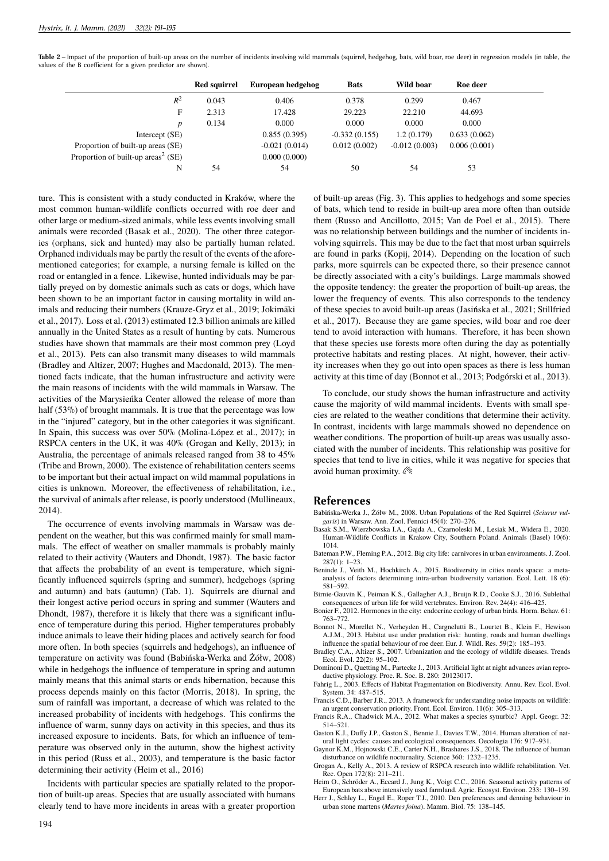Table 2 – Impact of the proportion of built-up areas on the number of incidents involving wild mammals (squirrel, hedgehog, bats, wild boar, roe deer) in regression models (in table, the values of the B coefficient for a given predictor are shown).

|                                                | <b>Red squirrel</b> | European hedgehog | <b>Bats</b>     | Wild boar       | Roe deer     |
|------------------------------------------------|---------------------|-------------------|-----------------|-----------------|--------------|
| $R^2$                                          | 0.043               | 0.406             | 0.378           | 0.299           | 0.467        |
| F                                              | 2.313               | 17.428            | 29.223          | 22.210          | 44.693       |
| p                                              | 0.134               | 0.000             | 0.000           | 0.000           | 0.000        |
| Intercept (SE)                                 |                     | 0.855(0.395)      | $-0.332(0.155)$ | 1.2(0.179)      | 0.633(0.062) |
| Proportion of built-up areas (SE)              |                     | $-0.021(0.014)$   | 0.012(0.002)    | $-0.012(0.003)$ | 0.006(0.001) |
| Proportion of built-up areas <sup>2</sup> (SE) |                     | 0.000(0.000)      |                 |                 |              |
| N                                              | 54                  | 54                | 50              | 54              | 53           |

ture. This is consistent with a study conducted in Kraków, where the most common human-wildlife conflicts occurred with roe deer and other large or medium-sized animals, while less events involving small animals were recorded (Basak et al., 2020). The other three categories (orphans, sick and hunted) may also be partially human related. Orphaned individuals may be partly the result of the events of the aforementioned categories; for example, a nursing female is killed on the road or entangled in a fence. Likewise, hunted individuals may be partially preyed on by domestic animals such as cats or dogs, which have been shown to be an important factor in causing mortality in wild animals and reducing their numbers (Krauze-Gryz et al., 2019; Jokimäki et al., 2017). Loss et al. (2013) estimated 12.3 billion animals are killed annually in the United States as a result of hunting by cats. Numerous studies have shown that mammals are their most common prey (Loyd et al., 2013). Pets can also transmit many diseases to wild mammals (Bradley and Altizer, 2007; Hughes and Macdonald, 2013). The mentioned facts indicate, that the human infrastructure and activity were the main reasons of incidents with the wild mammals in Warsaw. The activities of the Marysieńka Center allowed the release of more than half (53%) of brought mammals. It is true that the percentage was low in the "injured" category, but in the other categories it was significant. In Spain, this success was over 50% (Molina-López et al., 2017); in RSPCA centers in the UK, it was 40% (Grogan and Kelly, 2013); in Australia, the percentage of animals released ranged from 38 to 45% (Tribe and Brown, 2000). The existence of rehabilitation centers seems to be important but their actual impact on wild mammal populations in cities is unknown. Moreover, the effectiveness of rehabilitation, i.e., the survival of animals after release, is poorly understood (Mullineaux, 2014).

The occurrence of events involving mammals in Warsaw was dependent on the weather, but this was confirmed mainly for small mammals. The effect of weather on smaller mammals is probably mainly related to their activity (Wauters and Dhondt, 1987). The basic factor that affects the probability of an event is temperature, which significantly influenced squirrels (spring and summer), hedgehogs (spring and autumn) and bats (autumn) (Tab. 1). Squirrels are diurnal and their longest active period occurs in spring and summer (Wauters and Dhondt, 1987), therefore it is likely that there was a significant influence of temperature during this period. Higher temperatures probably induce animals to leave their hiding places and actively search for food more often. In both species (squirrels and hedgehogs), an influence of temperature on activity was found (Babińska-Werka and Żółw, 2008) while in hedgehogs the influence of temperature in spring and autumn mainly means that this animal starts or ends hibernation, because this process depends mainly on this factor (Morris, 2018). In spring, the sum of rainfall was important, a decrease of which was related to the increased probability of incidents with hedgehogs. This confirms the influence of warm, sunny days on activity in this species, and thus its increased exposure to incidents. Bats, for which an influence of temperature was observed only in the autumn, show the highest activity in this period (Russ et al., 2003), and temperature is the basic factor determining their activity (Heim et al., 2016)

Incidents with particular species are spatially related to the proportion of built-up areas. Species that are usually associated with humans clearly tend to have more incidents in areas with a greater proportion of built-up areas (Fig. 3). This applies to hedgehogs and some species of bats, which tend to reside in built-up area more often than outside them (Russo and Ancillotto, 2015; Van de Poel et al., 2015). There was no relationship between buildings and the number of incidents involving squirrels. This may be due to the fact that most urban squirrels are found in parks (Kopij, 2014). Depending on the location of such parks, more squirrels can be expected there, so their presence cannot be directly associated with a city's buildings. Large mammals showed the opposite tendency: the greater the proportion of built-up areas, the lower the frequency of events. This also corresponds to the tendency of these species to avoid built-up areas (Jasińska et al., 2021; Stillfried et al., 2017). Because they are game species, wild boar and roe deer tend to avoid interaction with humans. Therefore, it has been shown that these species use forests more often during the day as potentially protective habitats and resting places. At night, however, their activity increases when they go out into open spaces as there is less human activity at this time of day (Bonnot et al., 2013; Podgórski et al., 2013).

To conclude, our study shows the human infrastructure and activity cause the majority of wild mammal incidents. Events with small species are related to the weather conditions that determine their activity. In contrast, incidents with large mammals showed no dependence on weather conditions. The proportion of built-up areas was usually associated with the number of incidents. This relationship was positive for species that tend to live in cities, while it was negative for species that avoid human proximity.

## **References**

- Babińska-Werka J., Żółw M., 2008. Urban Populations of the Red Squirrel (*Sciurus vulgaris*) in Warsaw. Ann. Zool. Fennici 45(4): 270–276.
- Basak S.M., Wierzbowska I.A., Gajda A., Czarnoleski M., Lesiak M., Widera E., 2020. Human-Wildlife Conflicts in Krakow City, Southern Poland. Animals (Basel) 10(6): 1014.
- Bateman P.W., Fleming P.A., 2012. Big city life: carnivores in urban environments. J. Zool. 287(1): 1–23.
- Beninde J., Veith M., Hochkirch A., 2015. Biodiversity in cities needs space: a metaanalysis of factors determining intra-urban biodiversity variation. Ecol. Lett. 18 (6): 581–592.
- Birnie-Gauvin K., Peiman K.S., Gallagher A.J., Bruijn R.D., Cooke S.J., 2016. Sublethal consequences of urban life for wild vertebrates. Environ. Rev. 24(4): 416–425.
- Bonier F., 2012. Hormones in the city: endocrine ecology of urban birds. Horm. Behav. 61: 763–772.
- Bonnot N., Morellet N., Verheyden H., Cargnelutti B., Lourtet B., Klein F., Hewison A.J.M., 2013. Habitat use under predation risk: hunting, roads and human dwellings influence the spatial behaviour of roe deer. Eur. J. Wildl. Res. 59(2): 185–193.
- Bradley C.A., Altizer S., 2007. Urbanization and the ecology of wildlife diseases. Trends Ecol. Evol. 22(2): 95–102.
- Dominoni D., Quetting M., Partecke J., 2013. Artificial light at night advances avian reproductive physiology. Proc. R. Soc. B. 280: 20123017.
- Fahrig L., 2003. Effects of Habitat Fragmentation on Biodiversity. Annu. Rev. Ecol. Evol. System. 34: 487–515.
- Francis C.D., Barber J.R., 2013. A framework for understanding noise impacts on wildlife: an urgent conservation priority. Front. Ecol. Environ. 11(6): 305–313.
- Francis R.A., Chadwick M.A., 2012. What makes a species synurbic? Appl. Geogr. 32: 514–521.
- Gaston K.J., Duffy J.P., Gaston S., Bennie J., Davies T.W., 2014. Human alteration of natural light cycles: causes and ecological consequences. Oecologia 176: 917–931.
- Gaynor K.M., Hojnowski C.E., Carter N.H., Brashares J.S., 2018. The influence of human disturbance on wildlife nocturnality. Science 360: 1232–1235.
- Grogan A., Kelly A., 2013. A review of RSPCA research into wildlife rehabilitation. Vet. Rec. Open 172(8): 211–211.
- Heim O., Schröder A., Eccard J., Jung K., Voigt C.C., 2016. Seasonal activity patterns of European bats above intensively used farmland. Agric. Ecosyst. Environ. 233: 130–139.
- Herr J., Schley L., Engel E., Roper T.J., 2010. Den preferences and denning behaviour in urban stone martens (*Martes foina*). Mamm. Biol. 75: 138–145.